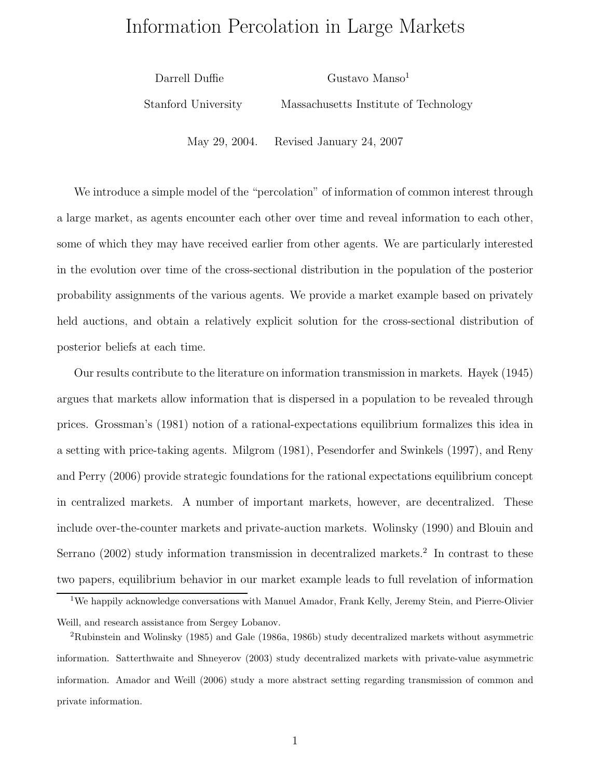# Information Percolation in Large Markets

Darrell Duffie Gustavo Manso<sup>1</sup> Stanford University Massachusetts Institute of Technology

May 29, 2004. Revised January 24, 2007

We introduce a simple model of the "percolation" of information of common interest through a large market, as agents encounter each other over time and reveal information to each other, some of which they may have received earlier from other agents. We are particularly interested in the evolution over time of the cross-sectional distribution in the population of the posterior probability assignments of the various agents. We provide a market example based on privately held auctions, and obtain a relatively explicit solution for the cross-sectional distribution of posterior beliefs at each time.

Our results contribute to the literature on information transmission in markets. Hayek (1945) argues that markets allow information that is dispersed in a population to be revealed through prices. Grossman's (1981) notion of a rational-expectations equilibrium formalizes this idea in a setting with price-taking agents. Milgrom (1981), Pesendorfer and Swinkels (1997), and Reny and Perry (2006) provide strategic foundations for the rational expectations equilibrium concept in centralized markets. A number of important markets, however, are decentralized. These include over-the-counter markets and private-auction markets. Wolinsky (1990) and Blouin and Serrano (2002) study information transmission in decentralized markets.<sup>2</sup> In contrast to these two papers, equilibrium behavior in our market example leads to full revelation of information

<sup>1</sup>We happily acknowledge conversations with Manuel Amador, Frank Kelly, Jeremy Stein, and Pierre-Olivier Weill, and research assistance from Sergey Lobanov.

<sup>2</sup>Rubinstein and Wolinsky (1985) and Gale (1986a, 1986b) study decentralized markets without asymmetric information. Satterthwaite and Shneyerov (2003) study decentralized markets with private-value asymmetric information. Amador and Weill (2006) study a more abstract setting regarding transmission of common and private information.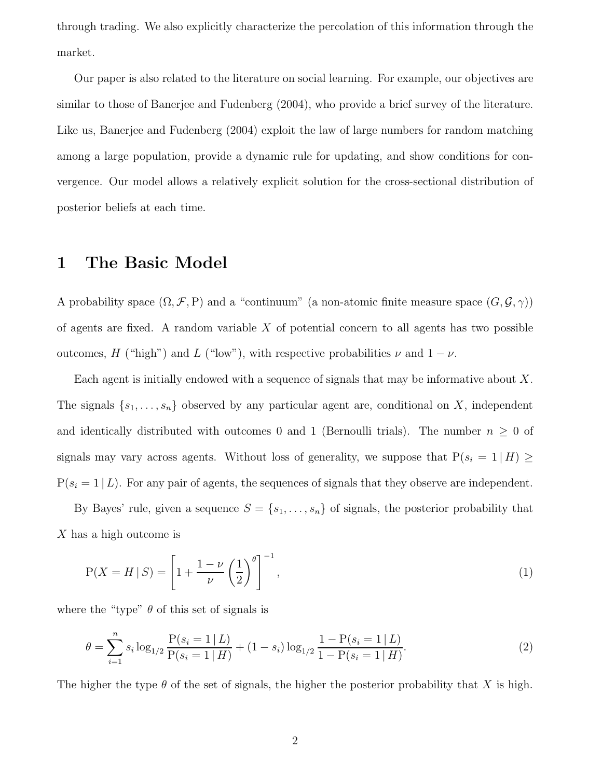through trading. We also explicitly characterize the percolation of this information through the market.

Our paper is also related to the literature on social learning. For example, our objectives are similar to those of Banerjee and Fudenberg (2004), who provide a brief survey of the literature. Like us, Banerjee and Fudenberg (2004) exploit the law of large numbers for random matching among a large population, provide a dynamic rule for updating, and show conditions for convergence. Our model allows a relatively explicit solution for the cross-sectional distribution of posterior beliefs at each time.

#### 1 The Basic Model

A probability space  $(\Omega, \mathcal{F}, P)$  and a "continuum" (a non-atomic finite measure space  $(G, \mathcal{G}, \gamma)$ ) of agents are fixed. A random variable  $X$  of potential concern to all agents has two possible outcomes, H ("high") and L ("low"), with respective probabilities  $\nu$  and  $1 - \nu$ .

Each agent is initially endowed with a sequence of signals that may be informative about X. The signals  $\{s_1, \ldots, s_n\}$  observed by any particular agent are, conditional on X, independent and identically distributed with outcomes 0 and 1 (Bernoulli trials). The number  $n \geq 0$  of signals may vary across agents. Without loss of generality, we suppose that  $P(s_i = 1 | H) \ge$  $P(s_i = 1 | L)$ . For any pair of agents, the sequences of signals that they observe are independent.

By Bayes' rule, given a sequence  $S = \{s_1, \ldots, s_n\}$  of signals, the posterior probability that X has a high outcome is

$$
P(X = H \mid S) = \left[1 + \frac{1 - \nu}{\nu} \left(\frac{1}{2}\right)^{\theta}\right]^{-1},\tag{1}
$$

where the "type"  $\theta$  of this set of signals is

$$
\theta = \sum_{i=1}^{n} s_i \log_{1/2} \frac{P(s_i = 1 | L)}{P(s_i = 1 | H)} + (1 - s_i) \log_{1/2} \frac{1 - P(s_i = 1 | L)}{1 - P(s_i = 1 | H)}.
$$
\n(2)

The higher the type  $\theta$  of the set of signals, the higher the posterior probability that X is high.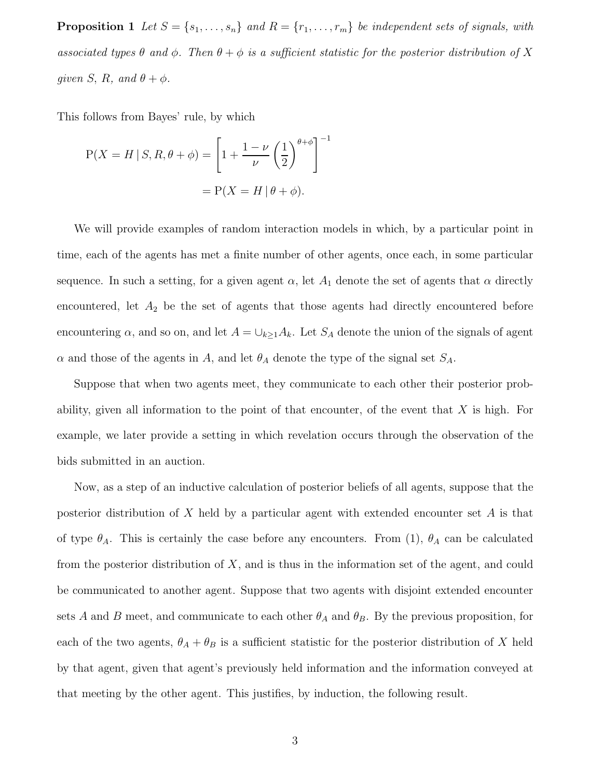**Proposition 1** Let  $S = \{s_1, \ldots, s_n\}$  and  $R = \{r_1, \ldots, r_m\}$  be independent sets of signals, with associated types  $\theta$  and  $\phi$ . Then  $\theta + \phi$  is a sufficient statistic for the posterior distribution of X given S, R, and  $\theta + \phi$ .

This follows from Bayes' rule, by which

$$
P(X = H \mid S, R, \theta + \phi) = \left[1 + \frac{1 - \nu}{\nu} \left(\frac{1}{2}\right)^{\theta + \phi}\right]^{-1}
$$

$$
= P(X = H \mid \theta + \phi).
$$

We will provide examples of random interaction models in which, by a particular point in time, each of the agents has met a finite number of other agents, once each, in some particular sequence. In such a setting, for a given agent  $\alpha$ , let  $A_1$  denote the set of agents that  $\alpha$  directly encountered, let  $A_2$  be the set of agents that those agents had directly encountered before encountering  $\alpha$ , and so on, and let  $A = \bigcup_{k\geq 1} A_k$ . Let  $S_A$  denote the union of the signals of agent  $\alpha$  and those of the agents in A, and let  $\theta_A$  denote the type of the signal set  $S_A$ .

Suppose that when two agents meet, they communicate to each other their posterior probability, given all information to the point of that encounter, of the event that  $X$  is high. For example, we later provide a setting in which revelation occurs through the observation of the bids submitted in an auction.

Now, as a step of an inductive calculation of posterior beliefs of all agents, suppose that the posterior distribution of X held by a particular agent with extended encounter set  $A$  is that of type  $\theta_A$ . This is certainly the case before any encounters. From (1),  $\theta_A$  can be calculated from the posterior distribution of  $X$ , and is thus in the information set of the agent, and could be communicated to another agent. Suppose that two agents with disjoint extended encounter sets A and B meet, and communicate to each other  $\theta_A$  and  $\theta_B$ . By the previous proposition, for each of the two agents,  $\theta_A + \theta_B$  is a sufficient statistic for the posterior distribution of X held by that agent, given that agent's previously held information and the information conveyed at that meeting by the other agent. This justifies, by induction, the following result.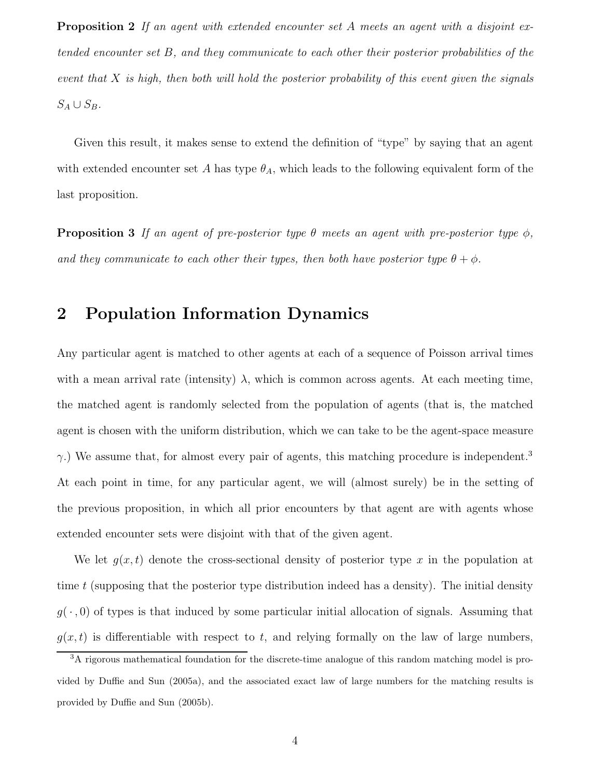Proposition 2 If an agent with extended encounter set A meets an agent with a disjoint extended encounter set B, and they communicate to each other their posterior probabilities of the event that X is high, then both will hold the posterior probability of this event given the signals  $S_A \cup S_B$ .

Given this result, it makes sense to extend the definition of "type" by saying that an agent with extended encounter set A has type  $\theta_A$ , which leads to the following equivalent form of the last proposition.

**Proposition 3** If an agent of pre-posterior type  $\theta$  meets an agent with pre-posterior type  $\phi$ . and they communicate to each other their types, then both have posterior type  $\theta + \phi$ .

## 2 Population Information Dynamics

Any particular agent is matched to other agents at each of a sequence of Poisson arrival times with a mean arrival rate (intensity)  $\lambda$ , which is common across agents. At each meeting time, the matched agent is randomly selected from the population of agents (that is, the matched agent is chosen with the uniform distribution, which we can take to be the agent-space measure  $\gamma$ .) We assume that, for almost every pair of agents, this matching procedure is independent.<sup>3</sup> At each point in time, for any particular agent, we will (almost surely) be in the setting of the previous proposition, in which all prior encounters by that agent are with agents whose extended encounter sets were disjoint with that of the given agent.

We let  $g(x, t)$  denote the cross-sectional density of posterior type x in the population at time t (supposing that the posterior type distribution indeed has a density). The initial density  $g(\cdot,0)$  of types is that induced by some particular initial allocation of signals. Assuming that  $g(x, t)$  is differentiable with respect to t, and relying formally on the law of large numbers,

<sup>3</sup>A rigorous mathematical foundation for the discrete-time analogue of this random matching model is provided by Duffie and Sun (2005a), and the associated exact law of large numbers for the matching results is provided by Duffie and Sun (2005b).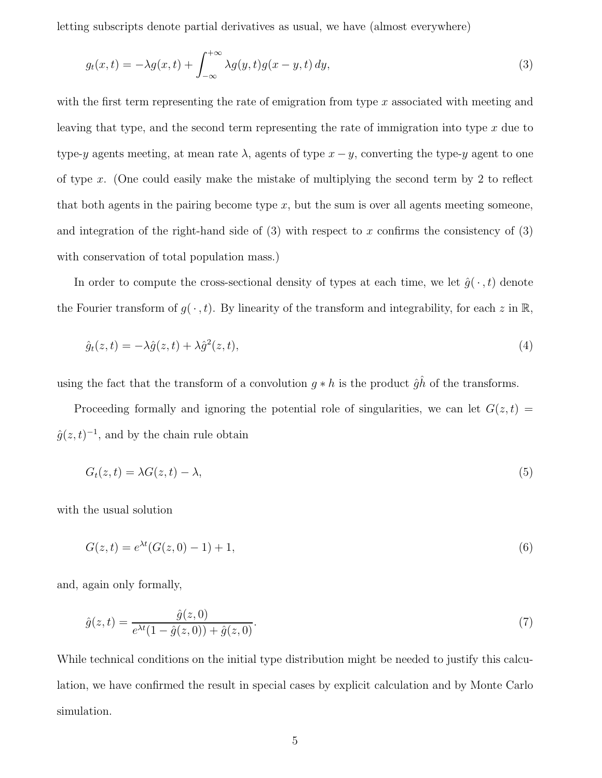letting subscripts denote partial derivatives as usual, we have (almost everywhere)

$$
g_t(x,t) = -\lambda g(x,t) + \int_{-\infty}^{+\infty} \lambda g(y,t)g(x-y,t) dy,
$$
\n(3)

with the first term representing the rate of emigration from type  $x$  associated with meeting and leaving that type, and the second term representing the rate of immigration into type  $x$  due to type-y agents meeting, at mean rate  $\lambda$ , agents of type  $x - y$ , converting the type-y agent to one of type x. (One could easily make the mistake of multiplying the second term by 2 to reflect that both agents in the pairing become type  $x$ , but the sum is over all agents meeting someone, and integration of the right-hand side of  $(3)$  with respect to x confirms the consistency of  $(3)$ with conservation of total population mass.)

In order to compute the cross-sectional density of types at each time, we let  $\hat{g}(\cdot, t)$  denote the Fourier transform of  $g(\cdot, t)$ . By linearity of the transform and integrability, for each z in  $\mathbb{R}$ ,

$$
\hat{g}_t(z,t) = -\lambda \hat{g}(z,t) + \lambda \hat{g}^2(z,t),\tag{4}
$$

using the fact that the transform of a convolution  $g * h$  is the product  $\hat{g}\hat{h}$  of the transforms.

Proceeding formally and ignoring the potential role of singularities, we can let  $G(z, t)$  $\hat{g}(z,t)^{-1}$ , and by the chain rule obtain

$$
G_t(z,t) = \lambda G(z,t) - \lambda,\tag{5}
$$

with the usual solution

$$
G(z,t) = e^{\lambda t} (G(z,0) - 1) + 1,
$$
\n(6)

and, again only formally,

$$
\hat{g}(z,t) = \frac{\hat{g}(z,0)}{e^{\lambda t}(1-\hat{g}(z,0)) + \hat{g}(z,0)}.
$$
\n(7)

While technical conditions on the initial type distribution might be needed to justify this calculation, we have confirmed the result in special cases by explicit calculation and by Monte Carlo simulation.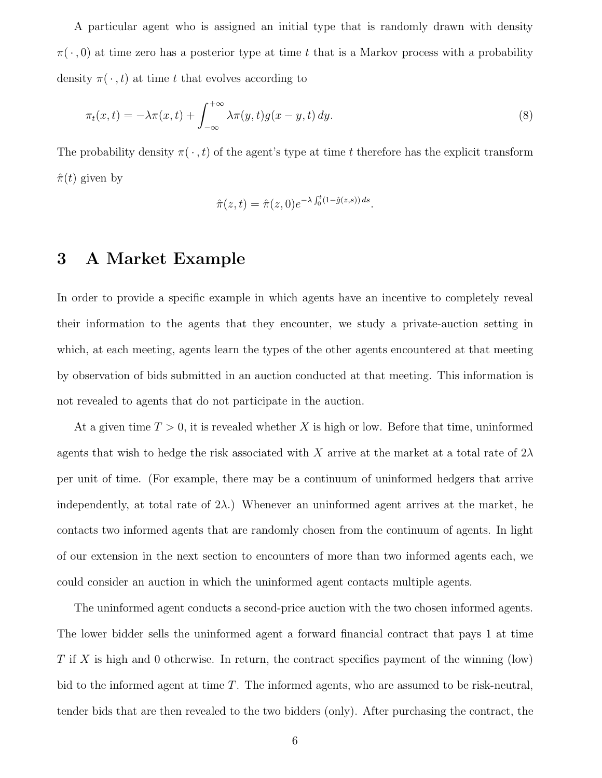A particular agent who is assigned an initial type that is randomly drawn with density  $\pi(\cdot,0)$  at time zero has a posterior type at time t that is a Markov process with a probability density  $\pi(\cdot, t)$  at time t that evolves according to

$$
\pi_t(x,t) = -\lambda \pi(x,t) + \int_{-\infty}^{+\infty} \lambda \pi(y,t)g(x-y,t) \, dy. \tag{8}
$$

The probability density  $\pi(\cdot, t)$  of the agent's type at time t therefore has the explicit transform  $\hat{\pi}(t)$  given by

$$
\hat{\pi}(z,t) = \hat{\pi}(z,0)e^{-\lambda \int_0^t (1-\hat{g}(z,s))ds}.
$$

### 3 A Market Example

In order to provide a specific example in which agents have an incentive to completely reveal their information to the agents that they encounter, we study a private-auction setting in which, at each meeting, agents learn the types of the other agents encountered at that meeting by observation of bids submitted in an auction conducted at that meeting. This information is not revealed to agents that do not participate in the auction.

At a given time  $T > 0$ , it is revealed whether X is high or low. Before that time, uninformed agents that wish to hedge the risk associated with X arrive at the market at a total rate of  $2\lambda$ per unit of time. (For example, there may be a continuum of uninformed hedgers that arrive independently, at total rate of  $2\lambda$ .) Whenever an uninformed agent arrives at the market, he contacts two informed agents that are randomly chosen from the continuum of agents. In light of our extension in the next section to encounters of more than two informed agents each, we could consider an auction in which the uninformed agent contacts multiple agents.

The uninformed agent conducts a second-price auction with the two chosen informed agents. The lower bidder sells the uninformed agent a forward financial contract that pays 1 at time  $T$  if X is high and 0 otherwise. In return, the contract specifies payment of the winning (low) bid to the informed agent at time  $T$ . The informed agents, who are assumed to be risk-neutral, tender bids that are then revealed to the two bidders (only). After purchasing the contract, the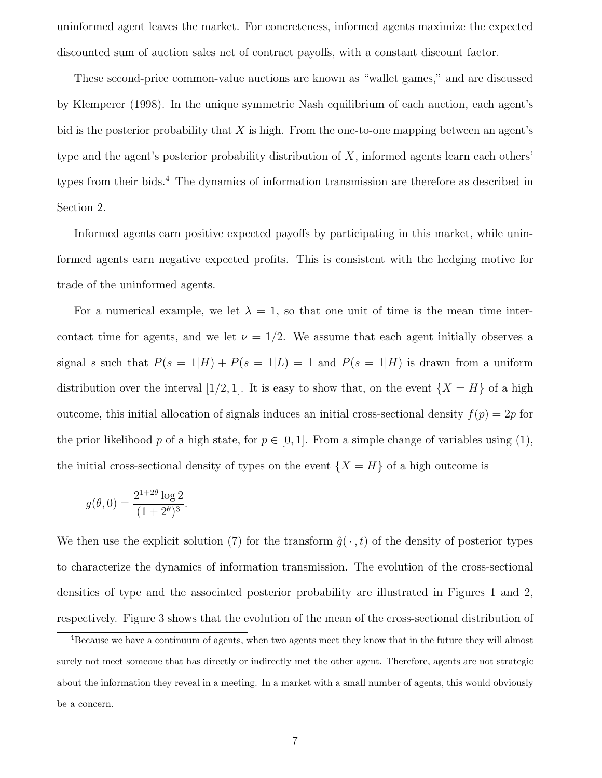uninformed agent leaves the market. For concreteness, informed agents maximize the expected discounted sum of auction sales net of contract payoffs, with a constant discount factor.

These second-price common-value auctions are known as "wallet games," and are discussed by Klemperer (1998). In the unique symmetric Nash equilibrium of each auction, each agent's bid is the posterior probability that  $X$  is high. From the one-to-one mapping between an agent's type and the agent's posterior probability distribution of  $X$ , informed agents learn each others' types from their bids.<sup>4</sup> The dynamics of information transmission are therefore as described in Section 2.

Informed agents earn positive expected payoffs by participating in this market, while uninformed agents earn negative expected profits. This is consistent with the hedging motive for trade of the uninformed agents.

For a numerical example, we let  $\lambda = 1$ , so that one unit of time is the mean time intercontact time for agents, and we let  $\nu = 1/2$ . We assume that each agent initially observes a signal s such that  $P(s = 1|H) + P(s = 1|L) = 1$  and  $P(s = 1|H)$  is drawn from a uniform distribution over the interval [1/2, 1]. It is easy to show that, on the event  $\{X = H\}$  of a high outcome, this initial allocation of signals induces an initial cross-sectional density  $f(p) = 2p$  for the prior likelihood p of a high state, for  $p \in [0, 1]$ . From a simple change of variables using (1), the initial cross-sectional density of types on the event  $\{X = H\}$  of a high outcome is

$$
g(\theta, 0) = \frac{2^{1+2\theta} \log 2}{(1+2^{\theta})^3}.
$$

We then use the explicit solution (7) for the transform  $\hat{q}(\cdot, t)$  of the density of posterior types to characterize the dynamics of information transmission. The evolution of the cross-sectional densities of type and the associated posterior probability are illustrated in Figures 1 and 2, respectively. Figure 3 shows that the evolution of the mean of the cross-sectional distribution of

<sup>&</sup>lt;sup>4</sup>Because we have a continuum of agents, when two agents meet they know that in the future they will almost surely not meet someone that has directly or indirectly met the other agent. Therefore, agents are not strategic about the information they reveal in a meeting. In a market with a small number of agents, this would obviously be a concern.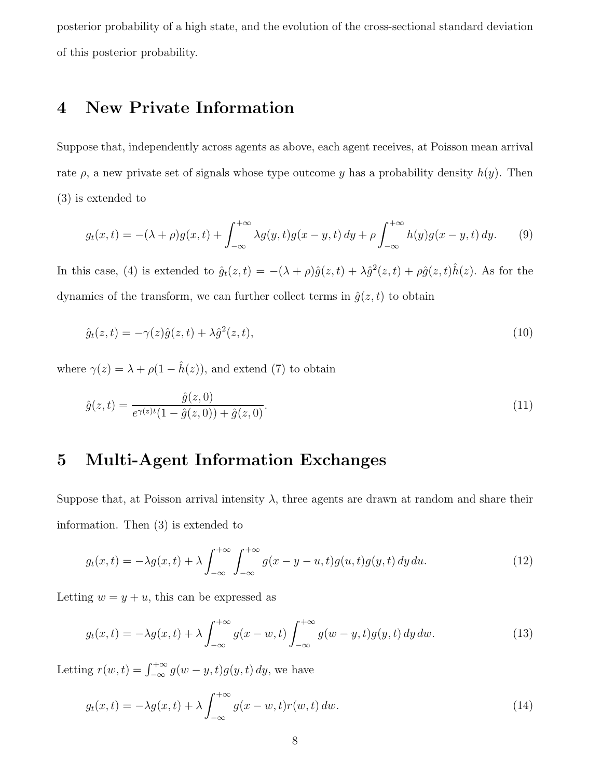posterior probability of a high state, and the evolution of the cross-sectional standard deviation of this posterior probability.

# 4 New Private Information

Suppose that, independently across agents as above, each agent receives, at Poisson mean arrival rate  $\rho$ , a new private set of signals whose type outcome y has a probability density  $h(y)$ . Then (3) is extended to

$$
g_t(x,t) = -(\lambda + \rho)g(x,t) + \int_{-\infty}^{+\infty} \lambda g(y,t)g(x-y,t) dy + \rho \int_{-\infty}^{+\infty} h(y)g(x-y,t) dy.
$$
 (9)

In this case, (4) is extended to  $\hat{g}_t(z,t) = -(\lambda + \rho)\hat{g}(z,t) + \lambda \hat{g}^2(z,t) + \rho \hat{g}(z,t)\hat{h}(z)$ . As for the dynamics of the transform, we can further collect terms in  $\hat{g}(z,t)$  to obtain

$$
\hat{g}_t(z,t) = -\gamma(z)\hat{g}(z,t) + \lambda \hat{g}^2(z,t),\tag{10}
$$

where  $\gamma(z) = \lambda + \rho(1 - \hat{h}(z))$ , and extend (7) to obtain

$$
\hat{g}(z,t) = \frac{\hat{g}(z,0)}{e^{\gamma(z)t}(1-\hat{g}(z,0)) + \hat{g}(z,0)}.
$$
\n(11)

## 5 Multi-Agent Information Exchanges

Suppose that, at Poisson arrival intensity  $\lambda$ , three agents are drawn at random and share their information. Then (3) is extended to

$$
g_t(x,t) = -\lambda g(x,t) + \lambda \int_{-\infty}^{+\infty} \int_{-\infty}^{+\infty} g(x-y-u,t)g(u,t)g(y,t) \, dy \, du. \tag{12}
$$

Letting  $w = y + u$ , this can be expressed as

$$
g_t(x,t) = -\lambda g(x,t) + \lambda \int_{-\infty}^{+\infty} g(x-w,t) \int_{-\infty}^{+\infty} g(w-y,t)g(y,t) dy dw.
$$
 (13)

Letting  $r(w, t) = \int_{-\infty}^{+\infty} g(w - y, t)g(y, t) dy$ , we have

$$
g_t(x,t) = -\lambda g(x,t) + \lambda \int_{-\infty}^{+\infty} g(x-w,t)r(w,t) \, dw. \tag{14}
$$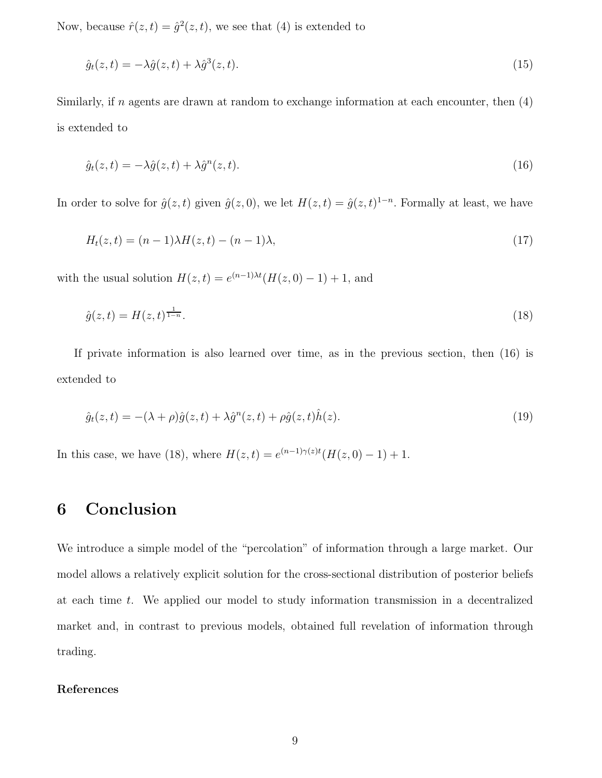Now, because  $\hat{r}(z,t) = \hat{g}^2(z,t)$ , we see that (4) is extended to

$$
\hat{g}_t(z,t) = -\lambda \hat{g}(z,t) + \lambda \hat{g}^3(z,t). \tag{15}
$$

Similarly, if n agents are drawn at random to exchange information at each encounter, then  $(4)$ is extended to

$$
\hat{g}_t(z,t) = -\lambda \hat{g}(z,t) + \lambda \hat{g}^n(z,t). \tag{16}
$$

In order to solve for  $\hat{g}(z,t)$  given  $\hat{g}(z,0)$ , we let  $H(z,t) = \hat{g}(z,t)^{1-n}$ . Formally at least, we have

$$
H_t(z,t) = (n-1)\lambda H(z,t) - (n-1)\lambda,
$$
\n(17)

with the usual solution  $H(z,t) = e^{(n-1)\lambda t} (H(z,0) - 1) + 1$ , and

$$
\hat{g}(z,t) = H(z,t)^{\frac{1}{1-n}}.\tag{18}
$$

If private information is also learned over time, as in the previous section, then (16) is extended to

$$
\hat{g}_t(z,t) = -(\lambda + \rho)\hat{g}(z,t) + \lambda \hat{g}^n(z,t) + \rho \hat{g}(z,t)\hat{h}(z). \tag{19}
$$

In this case, we have (18), where  $H(z,t) = e^{(n-1)\gamma(z)t} (H(z,0) - 1) + 1$ .

# 6 Conclusion

We introduce a simple model of the "percolation" of information through a large market. Our model allows a relatively explicit solution for the cross-sectional distribution of posterior beliefs at each time t. We applied our model to study information transmission in a decentralized market and, in contrast to previous models, obtained full revelation of information through trading.

#### References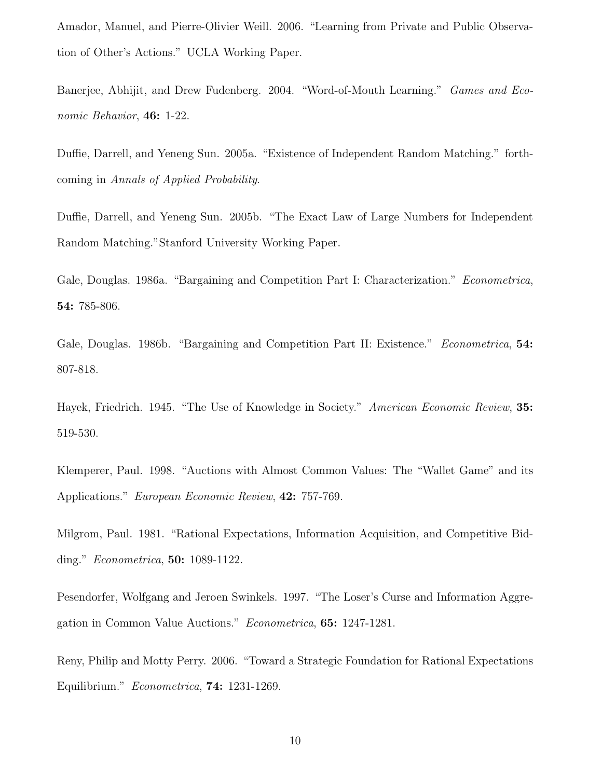Amador, Manuel, and Pierre-Olivier Weill. 2006. "Learning from Private and Public Observation of Other's Actions." UCLA Working Paper.

Banerjee, Abhijit, and Drew Fudenberg. 2004. "Word-of-Mouth Learning." Games and Economic Behavior, **46:** 1-22.

Duffie, Darrell, and Yeneng Sun. 2005a. "Existence of Independent Random Matching." forthcoming in Annals of Applied Probability.

Duffie, Darrell, and Yeneng Sun. 2005b. "The Exact Law of Large Numbers for Independent Random Matching."Stanford University Working Paper.

Gale, Douglas. 1986a. "Bargaining and Competition Part I: Characterization." Econometrica, 54: 785-806.

Gale, Douglas. 1986b. "Bargaining and Competition Part II: Existence." Econometrica, 54: 807-818.

Hayek, Friedrich. 1945. "The Use of Knowledge in Society." American Economic Review, 35: 519-530.

Klemperer, Paul. 1998. "Auctions with Almost Common Values: The "Wallet Game" and its Applications." European Economic Review, 42: 757-769.

Milgrom, Paul. 1981. "Rational Expectations, Information Acquisition, and Competitive Bidding." Econometrica, 50: 1089-1122.

Pesendorfer, Wolfgang and Jeroen Swinkels. 1997. "The Loser's Curse and Information Aggregation in Common Value Auctions." Econometrica, 65: 1247-1281.

Reny, Philip and Motty Perry. 2006. "Toward a Strategic Foundation for Rational Expectations Equilibrium." Econometrica, 74: 1231-1269.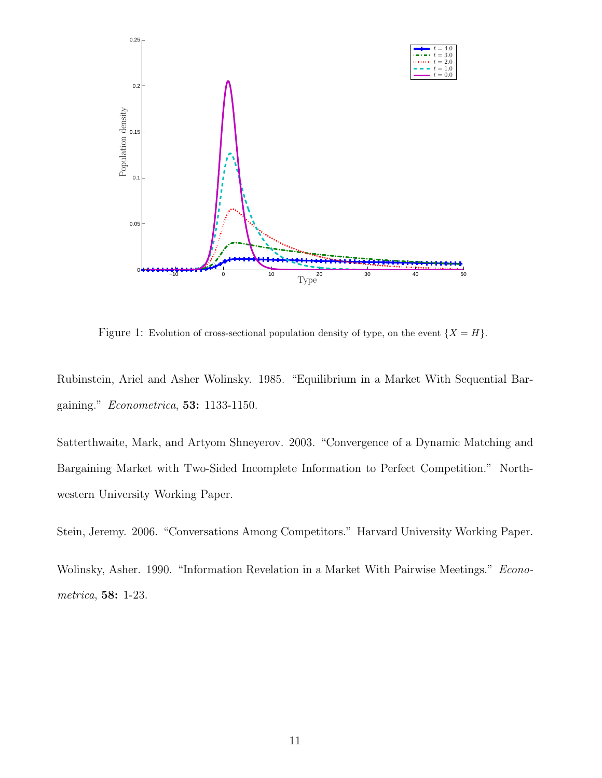

Figure 1: Evolution of cross-sectional population density of type, on the event  $\{X = H\}$ .

Rubinstein, Ariel and Asher Wolinsky. 1985. "Equilibrium in a Market With Sequential Bargaining." Econometrica, 53: 1133-1150.

Satterthwaite, Mark, and Artyom Shneyerov. 2003. "Convergence of a Dynamic Matching and Bargaining Market with Two-Sided Incomplete Information to Perfect Competition." Northwestern University Working Paper.

Stein, Jeremy. 2006. "Conversations Among Competitors." Harvard University Working Paper.

Wolinsky, Asher. 1990. "Information Revelation in a Market With Pairwise Meetings." Econometrica, 58: 1-23.